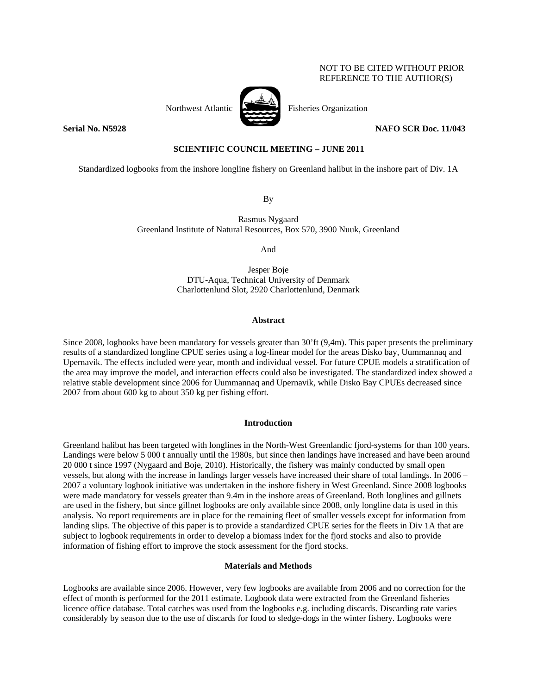# NOT TO BE CITED WITHOUT PRIOR REFERENCE TO THE AUTHOR(S)



Northwest Atlantic **No. 1988** Fisheries Organization

# **Serial No. N5928 NAFO SCR Doc. 11/043**

# **SCIENTIFIC COUNCIL MEETING – JUNE 2011**

Standardized logbooks from the inshore longline fishery on Greenland halibut in the inshore part of Div. 1A

By

Rasmus Nygaard Greenland Institute of Natural Resources, Box 570, 3900 Nuuk, Greenland

And

Jesper Boje DTU-Aqua, Technical University of Denmark Charlottenlund Slot, 2920 Charlottenlund, Denmark

# **Abstract**

Since 2008, logbooks have been mandatory for vessels greater than 30'ft (9,4m). This paper presents the preliminary results of a standardized longline CPUE series using a log-linear model for the areas Disko bay, Uummannaq and Upernavik. The effects included were year, month and individual vessel. For future CPUE models a stratification of the area may improve the model, and interaction effects could also be investigated. The standardized index showed a relative stable development since 2006 for Uummannaq and Upernavik, while Disko Bay CPUEs decreased since 2007 from about 600 kg to about 350 kg per fishing effort.

# **Introduction**

Greenland halibut has been targeted with longlines in the North-West Greenlandic fjord-systems for than 100 years. Landings were below 5 000 t annually until the 1980s, but since then landings have increased and have been around 20 000 t since 1997 (Nygaard and Boje, 2010). Historically, the fishery was mainly conducted by small open vessels, but along with the increase in landings larger vessels have increased their share of total landings. In 2006 – 2007 a voluntary logbook initiative was undertaken in the inshore fishery in West Greenland. Since 2008 logbooks were made mandatory for vessels greater than 9.4m in the inshore areas of Greenland. Both longlines and gillnets are used in the fishery, but since gillnet logbooks are only available since 2008, only longline data is used in this analysis. No report requirements are in place for the remaining fleet of smaller vessels except for information from landing slips. The objective of this paper is to provide a standardized CPUE series for the fleets in Div 1A that are subject to logbook requirements in order to develop a biomass index for the fjord stocks and also to provide information of fishing effort to improve the stock assessment for the fjord stocks.

# **Materials and Methods**

Logbooks are available since 2006. However, very few logbooks are available from 2006 and no correction for the effect of month is performed for the 2011 estimate. Logbook data were extracted from the Greenland fisheries licence office database. Total catches was used from the logbooks e.g. including discards. Discarding rate varies considerably by season due to the use of discards for food to sledge-dogs in the winter fishery. Logbooks were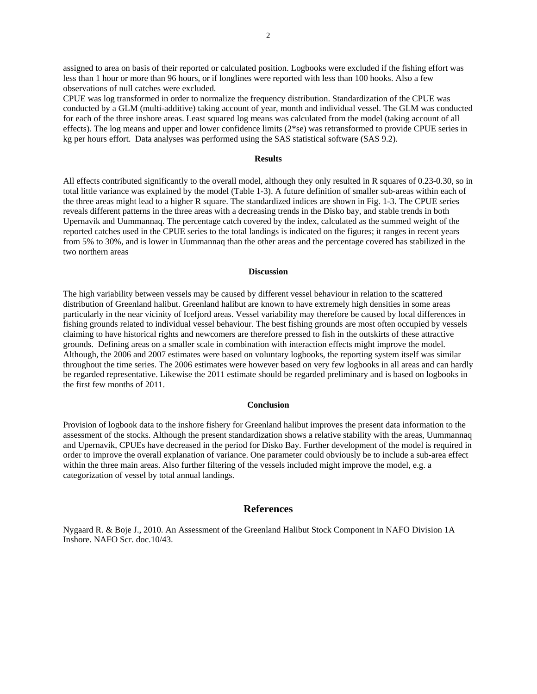assigned to area on basis of their reported or calculated position. Logbooks were excluded if the fishing effort was less than 1 hour or more than 96 hours, or if longlines were reported with less than 100 hooks. Also a few observations of null catches were excluded.

CPUE was log transformed in order to normalize the frequency distribution. Standardization of the CPUE was conducted by a GLM (multi-additive) taking account of year, month and individual vessel. The GLM was conducted for each of the three inshore areas. Least squared log means was calculated from the model (taking account of all effects). The log means and upper and lower confidence limits (2\*se) was retransformed to provide CPUE series in kg per hours effort. Data analyses was performed using the SAS statistical software (SAS 9.2).

## **Results**

All effects contributed significantly to the overall model, although they only resulted in R squares of 0.23-0.30, so in total little variance was explained by the model (Table 1-3). A future definition of smaller sub-areas within each of the three areas might lead to a higher R square. The standardized indices are shown in Fig. 1-3. The CPUE series reveals different patterns in the three areas with a decreasing trends in the Disko bay, and stable trends in both Upernavik and Uummannaq. The percentage catch covered by the index, calculated as the summed weight of the reported catches used in the CPUE series to the total landings is indicated on the figures; it ranges in recent years from 5% to 30%, and is lower in Uummannaq than the other areas and the percentage covered has stabilized in the two northern areas

# **Discussion**

The high variability between vessels may be caused by different vessel behaviour in relation to the scattered distribution of Greenland halibut. Greenland halibut are known to have extremely high densities in some areas particularly in the near vicinity of Icefjord areas. Vessel variability may therefore be caused by local differences in fishing grounds related to individual vessel behaviour. The best fishing grounds are most often occupied by vessels claiming to have historical rights and newcomers are therefore pressed to fish in the outskirts of these attractive grounds. Defining areas on a smaller scale in combination with interaction effects might improve the model. Although, the 2006 and 2007 estimates were based on voluntary logbooks, the reporting system itself was similar throughout the time series. The 2006 estimates were however based on very few logbooks in all areas and can hardly be regarded representative. Likewise the 2011 estimate should be regarded preliminary and is based on logbooks in the first few months of 2011.

### **Conclusion**

Provision of logbook data to the inshore fishery for Greenland halibut improves the present data information to the assessment of the stocks. Although the present standardization shows a relative stability with the areas, Uummannaq and Upernavik, CPUEs have decreased in the period for Disko Bay. Further development of the model is required in order to improve the overall explanation of variance. One parameter could obviously be to include a sub-area effect within the three main areas. Also further filtering of the vessels included might improve the model, e.g. a categorization of vessel by total annual landings.

# **References**

Nygaard R. & Boje J., 2010. An Assessment of the Greenland Halibut Stock Component in NAFO Division 1A Inshore. NAFO Scr. doc.10/43.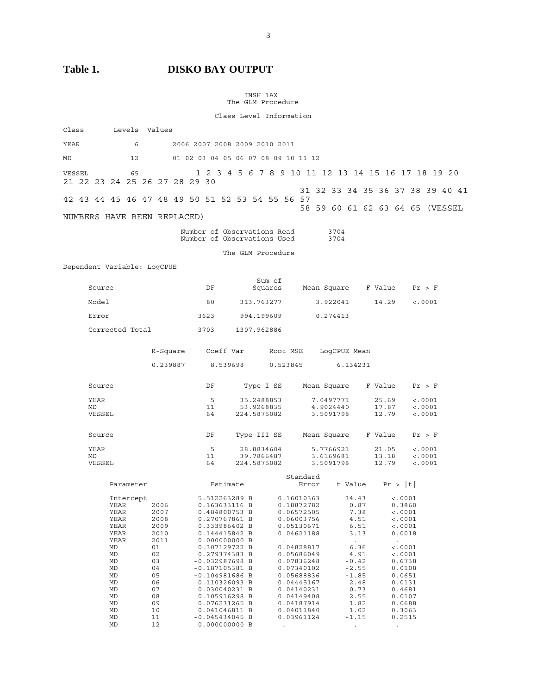**Table 1. DISKO BAY OUTPUT** 

 INSH 1AX The GLM Procedure

Class Level Information

| Class                                           |                                                                                                                                   | Levels Values |                                                                      |                                              |          |                                                                                                                                                                                                                                                                                                                                             |  |                                         |  |                                                                                                                                                                                                                                            |                                     |              |          |                                                                                                                                                             |  |                         |                     |                                                                                                                                                                                       |                               |         |  |  |
|-------------------------------------------------|-----------------------------------------------------------------------------------------------------------------------------------|---------------|----------------------------------------------------------------------|----------------------------------------------|----------|---------------------------------------------------------------------------------------------------------------------------------------------------------------------------------------------------------------------------------------------------------------------------------------------------------------------------------------------|--|-----------------------------------------|--|--------------------------------------------------------------------------------------------------------------------------------------------------------------------------------------------------------------------------------------------|-------------------------------------|--------------|----------|-------------------------------------------------------------------------------------------------------------------------------------------------------------|--|-------------------------|---------------------|---------------------------------------------------------------------------------------------------------------------------------------------------------------------------------------|-------------------------------|---------|--|--|
| YEAR                                            |                                                                                                                                   | 6             |                                                                      |                                              |          | 2006 2007 2008 2009 2010 2011                                                                                                                                                                                                                                                                                                               |  |                                         |  |                                                                                                                                                                                                                                            |                                     |              |          |                                                                                                                                                             |  |                         |                     |                                                                                                                                                                                       |                               |         |  |  |
| MD                                              |                                                                                                                                   | 12            |                                                                      |                                              |          | 01 02 03 04 05 06 07 08 09 10 11 12                                                                                                                                                                                                                                                                                                         |  |                                         |  |                                                                                                                                                                                                                                            |                                     |              |          |                                                                                                                                                             |  |                         |                     |                                                                                                                                                                                       |                               |         |  |  |
| VESSEL<br>21 22 23 24 25 26 27 28 29 30         |                                                                                                                                   | 65            |                                                                      |                                              |          | 1 2 3 4 5 6 7 8 9 10 11 12 13 14 15 16 17 18 19 20                                                                                                                                                                                                                                                                                          |  |                                         |  |                                                                                                                                                                                                                                            |                                     |              |          |                                                                                                                                                             |  |                         |                     |                                                                                                                                                                                       |                               |         |  |  |
| 42 43 44 45 46 47 48 49 50 51 52 53 54 55 56 57 |                                                                                                                                   |               |                                                                      |                                              |          |                                                                                                                                                                                                                                                                                                                                             |  |                                         |  | 31 32 33 34 35 36 37 38 39 40 41                                                                                                                                                                                                           |                                     |              |          |                                                                                                                                                             |  |                         |                     |                                                                                                                                                                                       |                               |         |  |  |
| NUMBERS HAVE BEEN REPLACED)                     |                                                                                                                                   |               |                                                                      |                                              |          |                                                                                                                                                                                                                                                                                                                                             |  |                                         |  | 58 59 60 61 62 63 64 65 (VESSEL                                                                                                                                                                                                            |                                     |              |          |                                                                                                                                                             |  |                         |                     |                                                                                                                                                                                       |                               |         |  |  |
|                                                 |                                                                                                                                   |               |                                                                      |                                              |          | Number of Observations Read<br>Number of Observations Used                                                                                                                                                                                                                                                                                  |  |                                         |  |                                                                                                                                                                                                                                            |                                     | 3704<br>3704 |          |                                                                                                                                                             |  |                         |                     |                                                                                                                                                                                       |                               |         |  |  |
|                                                 |                                                                                                                                   |               |                                                                      |                                              |          |                                                                                                                                                                                                                                                                                                                                             |  | The GLM Procedure                       |  |                                                                                                                                                                                                                                            |                                     |              |          |                                                                                                                                                             |  |                         |                     |                                                                                                                                                                                       |                               |         |  |  |
| Dependent Variable: LogCPUE                     |                                                                                                                                   |               |                                                                      |                                              |          |                                                                                                                                                                                                                                                                                                                                             |  |                                         |  |                                                                                                                                                                                                                                            |                                     |              |          |                                                                                                                                                             |  |                         |                     |                                                                                                                                                                                       |                               |         |  |  |
| Source                                          |                                                                                                                                   |               |                                                                      |                                              |          | DF                                                                                                                                                                                                                                                                                                                                          |  | Sum of<br>Squares                       |  |                                                                                                                                                                                                                                            | Mean Square F Value Pr > F          |              |          |                                                                                                                                                             |  |                         |                     |                                                                                                                                                                                       |                               |         |  |  |
| Model                                           |                                                                                                                                   |               |                                                                      |                                              |          | 80                                                                                                                                                                                                                                                                                                                                          |  | 313.763277                              |  |                                                                                                                                                                                                                                            | 3.922041                            |              |          |                                                                                                                                                             |  | 14.29                   |                     |                                                                                                                                                                                       |                               | < .0001 |  |  |
| Error                                           |                                                                                                                                   |               |                                                                      |                                              |          | 3623                                                                                                                                                                                                                                                                                                                                        |  | 994.199609                              |  |                                                                                                                                                                                                                                            | 0.274413                            |              |          |                                                                                                                                                             |  |                         |                     |                                                                                                                                                                                       |                               |         |  |  |
| Corrected Total                                 |                                                                                                                                   |               |                                                                      |                                              |          | 3703                                                                                                                                                                                                                                                                                                                                        |  | 1307.962886                             |  |                                                                                                                                                                                                                                            |                                     |              |          |                                                                                                                                                             |  |                         |                     |                                                                                                                                                                                       |                               |         |  |  |
|                                                 |                                                                                                                                   |               |                                                                      |                                              |          | R-Square Coeff Var                                                                                                                                                                                                                                                                                                                          |  |                                         |  | Root MSE LogCPUE Mean                                                                                                                                                                                                                      |                                     |              |          |                                                                                                                                                             |  |                         |                     |                                                                                                                                                                                       |                               |         |  |  |
|                                                 |                                                                                                                                   |               |                                                                      |                                              | 0.239887 | 8.539698                                                                                                                                                                                                                                                                                                                                    |  |                                         |  | 0.523845                                                                                                                                                                                                                                   |                                     |              | 6.134231 |                                                                                                                                                             |  |                         |                     |                                                                                                                                                                                       |                               |         |  |  |
| Source                                          |                                                                                                                                   |               |                                                                      |                                              |          | DF                                                                                                                                                                                                                                                                                                                                          |  | Type I SS                               |  |                                                                                                                                                                                                                                            | Mean Square                         |              |          |                                                                                                                                                             |  | F Value                 |                     |                                                                                                                                                                                       |                               | Pr > F  |  |  |
| YEAR<br>MD<br>VESSEL                            |                                                                                                                                   |               |                                                                      |                                              |          | 5<br>11<br>64                                                                                                                                                                                                                                                                                                                               |  | 35.2488853<br>53.9268835<br>224.5875082 |  |                                                                                                                                                                                                                                            | 7.0497771<br>4.9024440<br>3.5091798 |              |          |                                                                                                                                                             |  | 25.69<br>17.87<br>12.79 |                     |                                                                                                                                                                                       | < .0001<br>< .0001<br>< .0001 |         |  |  |
| Source                                          |                                                                                                                                   |               |                                                                      |                                              |          | DF                                                                                                                                                                                                                                                                                                                                          |  | Type III SS                             |  |                                                                                                                                                                                                                                            | Mean Square F Value                 |              |          |                                                                                                                                                             |  |                         |                     |                                                                                                                                                                                       | Pr > F                        |         |  |  |
| YEAR<br>MD<br>VESSEL                            |                                                                                                                                   |               |                                                                      |                                              |          | 5<br>11<br>64                                                                                                                                                                                                                                                                                                                               |  | 28.8834604<br>39.7866487<br>224.5875082 |  |                                                                                                                                                                                                                                            | 5.7766921<br>3.6169681<br>3.5091798 |              |          |                                                                                                                                                             |  | 21.05<br>13.18<br>12.79 |                     |                                                                                                                                                                                       | < .0001<br>< .0001<br>< .0001 |         |  |  |
|                                                 | Parameter                                                                                                                         |               |                                                                      |                                              |          | Estimate                                                                                                                                                                                                                                                                                                                                    |  |                                         |  | Standard<br>Error                                                                                                                                                                                                                          |                                     |              |          |                                                                                                                                                             |  | t Value Pr >  t         |                     |                                                                                                                                                                                       |                               |         |  |  |
|                                                 | Intercept<br>YEAR<br>YEAR<br>YEAR<br>YEAR<br>YEAR<br>YEAR<br>MD<br>MD<br>MD<br>MD<br>MD<br>MD<br>MD<br>MD<br>MD<br>MD<br>MD<br>MD |               | 01<br>02<br>03<br>04<br>05<br>06<br>07<br>08<br>09<br>10<br>11<br>12 | 2006<br>2007<br>2008<br>2009<br>2010<br>2011 |          | 5.512263289 B<br>0.163633116 B<br>0.484800753 B<br>0.270767861 B<br>0.333986402 B<br>0.144415842 B<br>0.000000000 B<br>0.307129722 B<br>0.279374383 B<br>$-0.032987698$ B<br>$-0.187105381 B$<br>$-0.104981686$ B<br>0.110326093 B<br>0.030040231 B<br>0.105916298 B<br>0.076231265 B<br>0.041046811 B<br>$-0.045434045 B$<br>0.000000000 B |  |                                         |  | 0.16010363<br>0.18872782<br>0.06572505<br>0.06003756<br>0.05130671<br>0.04621188<br>0.04828817<br>0.05686049<br>0.07836248<br>0.07340102<br>0.05688836<br>0.04445167<br>0.04140231<br>0.04149408<br>0.04187914<br>0.04011840<br>0.03961124 |                                     |              |          | 34.43<br>0.87<br>7.38<br>4.51<br>6.51<br>3.13<br>$\sim$<br>6.36<br>4.91<br>$-0.42$<br>$-2.55$<br>$-1.85$<br>2.48<br>0.73<br>2.55<br>1.82<br>1.02<br>$-1.15$ |  |                         | $\sim$<br>$\bullet$ | $\epsilon$ .0001<br>0.3860<br>< .0001<br>< .0001<br>< .0001<br>0.0018<br>< .0001<br>< .0001<br>0.6738<br>0.0108<br>0.0651<br>0.0131<br>0.4681<br>0.0107<br>0.0688<br>0.3063<br>0.2515 |                               |         |  |  |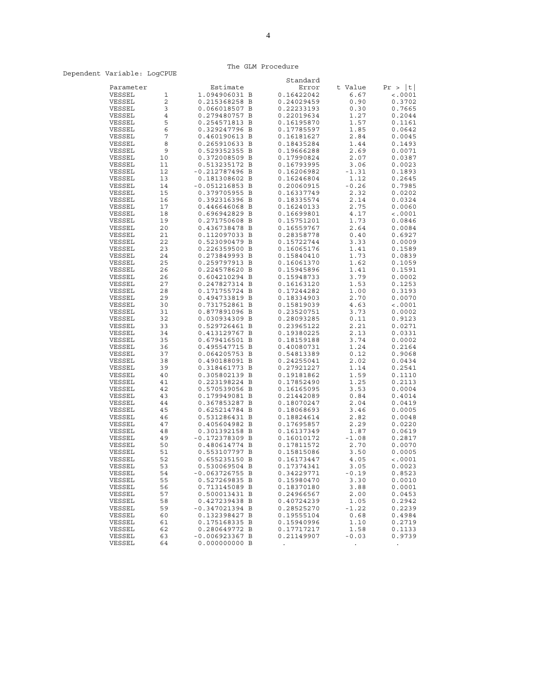# The GLM Procedure

# Dependent Variable: LogCPUE

|                  |          |                  | Standard   |                 |            |
|------------------|----------|------------------|------------|-----------------|------------|
| Parameter        |          | Estimate         | Error      | t Value         | Pr >  t    |
| VESSEL           | 1        | 1.094906031 B    | 0.16422042 | 6.67            | < .0001    |
| VESSEL           | 2        | 0.215368258 B    | 0.24029459 | 0.90            | 0.3702     |
| VESSEL           | 3        | 0.066018507 B    | 0.22233193 | 0.30            | 0.7665     |
| VESSEL           | 4        | 0.279480757 B    | 0.22019634 | 1.27            | 0.2044     |
| VESSEL           | 5        | 0.254571813 B    | 0.16195870 | 1.57            | 0.1161     |
| VESSEL           | 6        | 0.329247796 B    | 0.17785597 | 1.85            | 0.0642     |
| VESSEL           | 7        | 0.460190613 B    | 0.16181627 | 2.84            | 0.0045     |
| VESSEL           | 8        | 0.265910633 B    | 0.18435284 | 1.44            | 0.1493     |
| VESSEL           | 9        | 0.529352355 B    | 0.19666288 | 2.69            | 0.0071     |
| VESSEL           | 10       | 0.372008509 B    | 0.17990824 | 2.07            | 0.0387     |
| VESSEL           | 11       | 0.513235172 B    | 0.16793995 | 3.06            | 0.0023     |
| VESSEL           | 12       | $-0.212787496$ B | 0.16206982 | $-1.31$         | 0.1893     |
| VESSEL           | 13       | 0.181308602 B    | 0.16246804 | 1.12            | 0.2645     |
| VESSEL           | 14       | $-0.051216853 B$ | 0.20060915 | $-0.26$         | 0.7985     |
| VESSEL           | 15       | 0.379705955 B    | 0.16337749 | 2.32            | 0.0202     |
| VESSEL           | 16       | 0.392316396 B    | 0.18335574 | 2.14            | 0.0324     |
| VESSEL           | 17       | 0.446646068 B    | 0.16240133 | 2.75            | 0.0060     |
| VESSEL           | 18       | 0.696942829 B    | 0.16699801 | 4.17            | $\, 0001$  |
| VESSEL           | 19       | 0.271750608 B    | 0.15751201 | 1.73            | 0.0846     |
| VESSEL           | 20       | 0.436738478 B    | 0.16559767 | 2.64            | 0.0084     |
| VESSEL           | 21       | 0.112097033 B    | 0.28358778 | 0.40            | 0.6927     |
| VESSEL           | 22       | 0.523090479 B    | 0.15722744 | 3.33            | 0.0009     |
| VESSEL           | 23       | 0.226359500 B    | 0.16065176 | 1.41            | 0.1589     |
| VESSEL           | 24       | 0.273849993 B    | 0.15840410 | 1.73            | 0.0839     |
| VESSEL           | 25       | 0.259797913 B    | 0.16061370 | 1.62            | 0.1059     |
| VESSEL           | 26       | 0.224578620 B    | 0.15945896 | 1.41            | 0.1591     |
| VESSEL           | 26       | 0.604210294 B    | 0.15948733 | 3.79            | 0.0002     |
| VESSEL           | 27       | 0.247827314 B    | 0.16163120 | 1.53            | 0.1253     |
| VESSEL           | 28       | 0.171755724 B    | 0.17244282 | 1.00            | 0.3193     |
| VESSEL           | 29       | 0.494733819 B    | 0.18334903 | 2.70            | 0.0070     |
| VESSEL           | 30       | 0.731752861 B    | 0.15819039 | 4.63            | $\, 0001$  |
| VESSEL           | 31       | 0.877891096 B    | 0.23520751 | 3.73            | 0.0002     |
| VESSEL           | 32       | 0.030934309 B    | 0.28093285 | 0.11            | 0.9123     |
| VESSEL           | 33       | 0.529726461 B    | 0.23965122 | 2.21            | 0.0271     |
| VESSEL           | 34       | 0.413129767 B    | 0.19380225 | 2.13            | 0.0331     |
| VESSEL           | 35       | 0.679416501 B    | 0.18159188 | 3.74            | 0.0002     |
| VESSEL           | 36       | 0.495547715 B    | 0.40080731 | 1.24            | 0.2164     |
| VESSEL           | 37       | 0.064205753 B    | 0.54813389 | 0.12            | 0.9068     |
| VESSEL           | 38       | 0.490188091 B    | 0.24255041 | 2.02            | 0.0434     |
| VESSEL           | 39       | 0.318461773 B    | 0.27921227 | 1.14            | 0.2541     |
| VESSEL           | 40       | 0.305802139 B    | 0.19181862 | 1.59            | 0.1110     |
| VESSEL           | 41       | 0.223198224 B    | 0.17852490 | 1.25            | 0.2113     |
| VESSEL           | 42       | 0.570539056 B    | 0.16165095 | 3.53            | 0.0004     |
| VESSEL           | 43       | 0.179949081 B    | 0.21442089 | 0.84            | 0.4014     |
| VESSEL           | 44       | 0.367853287 B    | 0.18070247 | 2.04            | 0.0419     |
| VESSEL           | 45       | 0.625214784 B    | 0.18068693 | 3.46            | 0.0005     |
| VESSEL           | 46       | 0.531286431 B    | 0.18824614 | 2.82            | 0.0048     |
| VESSEL           | 47       | 0.405604982 B    | 0.17695857 | 2.29            | 0.0220     |
| VESSEL           | 48       | 0.301392158 B    | 0.16137349 | 1.87            | 0.0619     |
| VESSEL           | 49       | -0.172378309 B   | 0.16010172 | $-1.08$         | 0.2817     |
| VESSEL           | 50       | 0.480614774 B    | 0.17811572 | 2.70            | 0.0070     |
| VESSEL           | 51       | 0.553107797 B    | 0.15815086 | 3.50            | 0.0005     |
| VESSEL           | 52       | 0.655235150 B    | 0.16173447 | 4.05            | $\,  0001$ |
| VESSEL           | 53       | 0.530069504 B    | 0.17374341 | 3.05            | 0.0023     |
| VESSEL           | 54       | -0.063726755 B   | 0.34229771 | $-0.19$         | 0.8523     |
| VESSEL           | 55       | 0.527269835 B    | 0.15980470 | 3.30            | 0.0010     |
| VESSEL           | 56       | 0.713145089 B    | 0.18370180 | 3.88            | 0.0001     |
| VESSEL           | 57       | 0.500013431 B    | 0.24966567 | 2.00            | 0.0453     |
| VESSEL           | 58       | 0.427239438 B    | 0.40724239 | 1.05            | 0.2942     |
| VESSEL           | 59       | $-0.347021394$ B | 0.28525270 | $-1.22$         | 0.2239     |
| VESSEL           | 60       | 0.132398427 B    | 0.19555104 | 0.68            | 0.4984     |
| VESSEL           | 61       | 0.175168335 B    | 0.15940996 | 1.10            | 0.2719     |
| VESSEL<br>VESSEL | 62<br>63 | 0.280649772 B    | 0.17717217 | 1.58<br>$-0.03$ | 0.1133     |
|                  | 64       | -0.006923367 B   | 0.21149907 |                 | 0.9739     |
| VESSEL           |          | 0.000000000 B    |            |                 |            |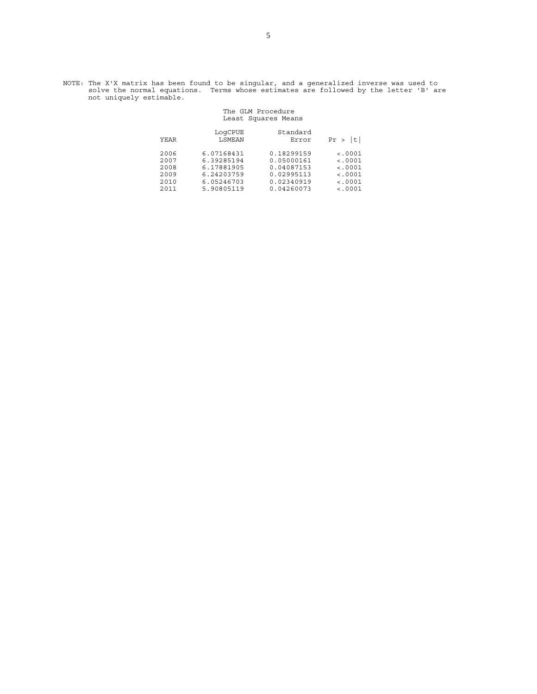NOTE: The X'X matrix has been found to be singular, and a generalized inverse was used to solve the normal equations. Terms whose estimates are followed by the letter 'B' are not uniquely estimable.

### The GLM Procedure Least Squares Means

| YEAR | LogCPUE<br>LSMEAN | Standard<br>Error | t <br>Pr > |
|------|-------------------|-------------------|------------|
| 2006 | 6.07168431        | 0.18299159        | < .0001    |
| 2007 | 6.39285194        | 0.05000161        | < .0001    |
| 2008 | 6.17881905        | 0.04087153        | < .0001    |
| 2009 | 6.24203759        | 0.02995113        | < 0.001    |
| 2010 | 6.05246703        | 0.02340919        | < 0.001    |
| 2011 | 5.90805119        | 0.04260073        | < .0001    |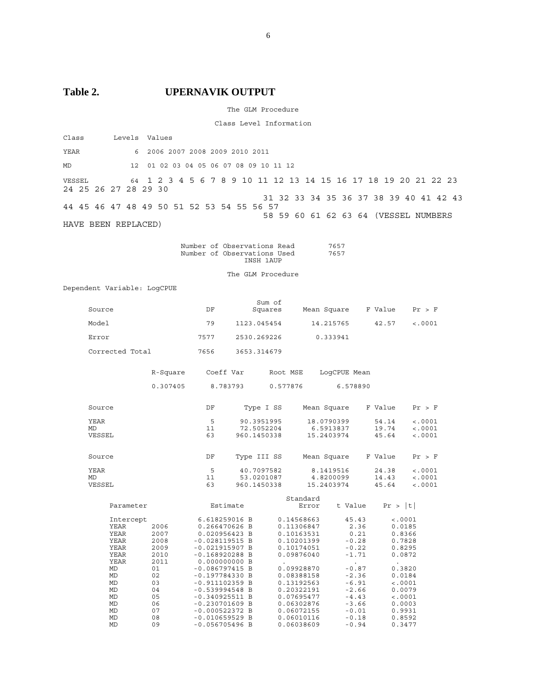# Table 2. UPERNAVIK OUTPUT

The GLM Procedure

Class Level Information

| Class                          | Levels Values |                                                                                   |
|--------------------------------|---------------|-----------------------------------------------------------------------------------|
| YEAR                           |               | 6 2006 2007 2008 2009 2010 2011                                                   |
| <b>MD</b>                      |               | 12  01  02  03  04  05  06  07  08  09  10  11  12                                |
| VESSEL<br>24 25 26 27 28 29 30 |               | 64 1 2 3 4 5 6 7 8 9 10 11 12 13 14 15 16 17 18 19 20 21 22 23                    |
|                                |               | 31 32 33 34 35 36 37 38 39 40 41 42 43                                            |
|                                |               | 44 45 46 47 48 49 50 51 52 53 54 55 56 57<br>58 59 60 61 62 63 64 (VESSEL NUMBERS |
| HAVE BEEN REPLACED)            |               |                                                                                   |

|  | Number of Observations Read | 7657 |
|--|-----------------------------|------|
|  | Number of Observations Used | 7657 |
|  | INSH 1AUP                   |      |

The GLM Procedure

Dependent Variable: LogCPUE

| Source                                                                  |                                                    | DF                                                                                                                                                                               | Sum of<br>Squares                       |                                                                                                              | Mean Square                           |                                                                                                 | F Value                 | Pr > F                                                                         |  |
|-------------------------------------------------------------------------|----------------------------------------------------|----------------------------------------------------------------------------------------------------------------------------------------------------------------------------------|-----------------------------------------|--------------------------------------------------------------------------------------------------------------|---------------------------------------|-------------------------------------------------------------------------------------------------|-------------------------|--------------------------------------------------------------------------------|--|
| Model                                                                   |                                                    | 79                                                                                                                                                                               | 1123.045454                             |                                                                                                              | 14.215765                             |                                                                                                 | 42.57                   | < .0001                                                                        |  |
| Error                                                                   |                                                    | 7577                                                                                                                                                                             | 2530.269226                             |                                                                                                              | 0.333941                              |                                                                                                 |                         |                                                                                |  |
| Corrected Total                                                         |                                                    | 7656                                                                                                                                                                             | 3653.314679                             |                                                                                                              |                                       |                                                                                                 |                         |                                                                                |  |
|                                                                         | R-Square                                           | Coeff Var                                                                                                                                                                        |                                         | Root MSE                                                                                                     | LoqCPUE Mean                          |                                                                                                 |                         |                                                                                |  |
|                                                                         | 0.307405                                           | 8.783793                                                                                                                                                                         |                                         | 0.577876                                                                                                     |                                       | 6.578890                                                                                        |                         |                                                                                |  |
| Source                                                                  |                                                    | DF                                                                                                                                                                               | Type I SS                               |                                                                                                              | Mean Square                           |                                                                                                 | F Value                 | Pr > F                                                                         |  |
| YEAR<br>MD<br>VESSEL                                                    |                                                    | 5<br>11<br>63                                                                                                                                                                    | 90.3951995<br>72.5052204<br>960.1450338 |                                                                                                              | 18.0790399<br>6.5913837<br>15.2403974 |                                                                                                 | 54.14<br>19.74<br>45.64 | < .0001<br>< .0001<br>< .0001                                                  |  |
| Source                                                                  |                                                    | DF                                                                                                                                                                               | Type III SS                             |                                                                                                              | Mean Square                           |                                                                                                 | F Value                 | Pr > F                                                                         |  |
| <b>YEAR</b><br>MD<br>VESSEL                                             |                                                    | 5<br>11<br>63                                                                                                                                                                    | 40.7097582<br>53.0201087<br>960.1450338 |                                                                                                              | 8.1419516<br>4.8200099<br>15.2403974  |                                                                                                 | 24.38<br>14.43<br>45.64 | < .0001<br>< .0001<br>< .0001                                                  |  |
| Parameter                                                               |                                                    | Estimate                                                                                                                                                                         |                                         | Standard<br>Error                                                                                            |                                       | t Value                                                                                         | Pr >  t                 |                                                                                |  |
| Intercept<br>YEAR<br><b>YEAR</b><br>YEAR<br>YEAR<br>YEAR<br><b>YEAR</b> | 2006<br>2007<br>2008<br>2009<br>2010<br>2011       | 6.618259016 B<br>0.266470626 B<br>0.020956423 B<br>$-0.028119515 B$<br>$-0.021915907 B$<br>$-0.168920288$ B<br>0.000000000 B                                                     |                                         | 0.14568663<br>0.11306847<br>0.10163531<br>0.10201399<br>0.10174051<br>0.09876040                             |                                       | 45.43<br>2.36<br>0.21<br>$-0.28$<br>$-0.22$<br>$-1.71$                                          |                         | < .0001<br>0.0185<br>0.8366<br>0.7828<br>0.8295<br>0.0872                      |  |
| MD<br>MD<br>MD<br>MD<br>MD<br>MD<br>MD<br>MD                            | 01<br>02<br>03<br>04<br>05<br>06<br>07<br>08<br>09 | $-0.086797415 B$<br>$-0.197784330 B$<br>$-0.911102359$ B<br>$-0.539994548 B$<br>$-0.340925511 B$<br>$-0.230701609$ B<br>$-0.000522372 B$<br>$-0.010659529$ B<br>$-0.056705496$ B |                                         | 0.09928870<br>0.08388158<br>0.13192563<br>0.20322191<br>0.07695477<br>0.06302876<br>0.06072155<br>0.06010116 | 0.06038609                            | $-0.87$<br>$-2.36$<br>$-6.91$<br>$-2.66$<br>$-4.43$<br>$-3.66$<br>$-0.01$<br>$-0.18$<br>$-0.94$ | 0.3477                  | 0.3820<br>0.0184<br>< .0001<br>0.0079<br>< .0001<br>0.0003<br>0.9931<br>0.8592 |  |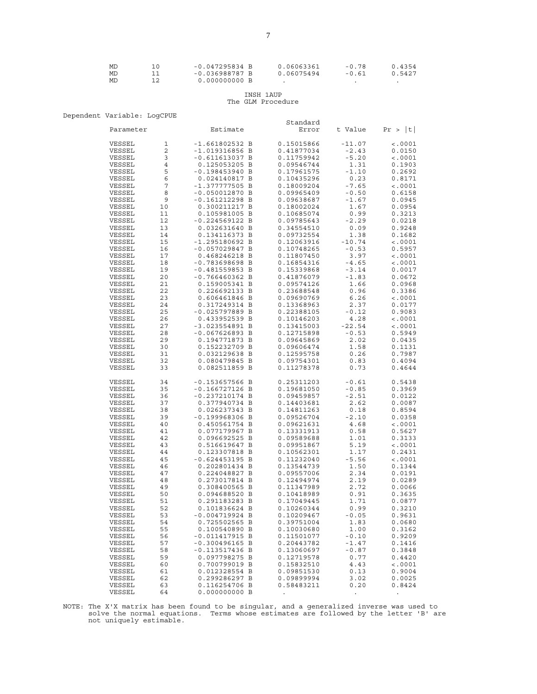| МD | $-0.047295834 B$ | 0.06063361 | $-0.78$ | า.4354 |
|----|------------------|------------|---------|--------|
| МD | $-0.036988787 B$ | 0.06075494 | $-0.61$ | 0.5427 |
| МD | $0.000000000$ B  |            |         |        |

# INSH 1AUP

# The GLM Procedure

Dependent Variable: LogCPUE

| bependent variable. Bogerop |    |                                      |                   |          |             |
|-----------------------------|----|--------------------------------------|-------------------|----------|-------------|
| Parameter                   |    | Estimate                             | Standard<br>Error | t Value  | Pr >  t     |
|                             |    |                                      |                   |          |             |
| VESSEL                      | 1  | $-1.661802532 B$                     | 0.15015866        | $-11.07$ | $\sim 0001$ |
| VESSEL                      | 2  | $-1.019316856$ B                     | 0.41877034        | $-2.43$  | 0.0150      |
| VESSEL                      | 3  | $-0.611613037 B$                     | 0.11759942        | $-5.20$  | < .0001     |
| VESSEL                      | 4  | 0.125053205 B                        | 0.09546744        | 1.31     | 0.1903      |
| VESSEL                      | 5  | $-0.198453940 B$                     | 0.17961575        | $-1.10$  | 0.2692      |
| VESSEL                      | 6  | 0.024140817 B                        | 0.10435296        | 0.23     | 0.8171      |
| VESSEL                      | 7  | -1.377777505 B                       | 0.18009204        | $-7.65$  | $\, 0001$   |
| VESSEL                      | 8  | $-0.050012870 B$                     | 0.09965409        | $-0.50$  | 0.6158      |
| VESSEL                      | 9  | $-0.161212298$ B                     | 0.09638687        | $-1.67$  | 0.0945      |
| VESSEL                      | 10 | 0.300211217 B                        | 0.18002024        | 1.67     | 0.0954      |
| VESSEL                      | 11 | 0.105981005 B                        | 0.10685074        | 0.99     | 0.3213      |
| VESSEL                      | 12 | $-0.224569122 B$                     | 0.09785643        | $-2.29$  | 0.0218      |
| VESSEL                      | 13 | 0.032631640 B                        | 0.34554510        | 0.09     | 0.9248      |
| VESSEL                      | 14 | 0.134116373 B                        | 0.09732554        | 1.38     | 0.1682      |
| VESSEL                      | 15 | $-1.295180692 B$                     | 0.12063916        | $-10.74$ | < .0001     |
| VESSEL                      | 16 | $-0.057029847 B$                     | 0.10748265        | $-0.53$  | 0.5957      |
| VESSEL                      | 17 | 0.468246218 B                        | 0.11807450        | 3.97     | < .0001     |
| VESSEL                      | 18 | $-0.783698698 B$                     | 0.16854316        | $-4.65$  | < .0001     |
|                             |    |                                      |                   |          |             |
| VESSEL                      | 19 | $-0.481559853 B$                     | 0.15339868        | $-3.14$  | 0.0017      |
| VESSEL                      | 20 | $-0.766460362 B$                     | 0.41876079        | $-1.83$  | 0.0672      |
| VESSEL                      | 21 | 0.159005341 B                        | 0.09574126        | 1.66     | 0.0968      |
| VESSEL                      | 22 | 0.226692133 B                        | 0.23688548        | 0.96     | 0.3386      |
| VESSEL                      | 23 | 0.606461846 B                        | 0.09690769        | 6.26     | < .0001     |
| VESSEL                      | 24 | 0.317249314 B                        | 0.13368963        | 2.37     | 0.0177      |
| VESSEL                      | 25 | $-0.025797889$ B                     | 0.22388105        | $-0.12$  | 0.9083      |
| VESSEL                      | 26 | 0.433952539 B                        | 0.10146203        | 4.28     | < .0001     |
| VESSEL                      | 27 | $-3.023554891 B$                     | 0.13415003        | $-22.54$ | < .0001     |
| VESSEL                      | 28 | $-0.067626893 B$                     | 0.12715898        | $-0.53$  | 0.5949      |
| VESSEL                      | 29 | 0.194771873 B                        | 0.09645869        | 2.02     | 0.0435      |
| VESSEL                      | 30 | 0.152232709 B                        | 0.09606474        | 1.58     | 0.1131      |
| VESSEL                      | 31 | 0.032129638 B                        | 0.12595758        | 0.26     | 0.7987      |
| VESSEL                      | 32 | 0.080479845 B                        | 0.09754301        | 0.83     | 0.4094      |
| VESSEL                      | 33 | 0.082511859 B                        | 0.11278378        | 0.73     | 0.4644      |
| VESSEL                      | 34 | $-0.153657566$ B                     | 0.25311203        | $-0.61$  | 0.5438      |
| VESSEL                      | 35 | $-0.166727126$ B                     | 0.19681050        | $-0.85$  | 0.3969      |
| VESSEL                      | 36 | $-0.237210174$ B                     | 0.09459857        | $-2.51$  | 0.0122      |
| VESSEL                      | 37 | 0.377940734 B                        | 0.14403681        | 2.62     | 0.0087      |
| VESSEL                      | 38 | 0.026237343 B                        | 0.14811263        | 0.18     | 0.8594      |
| VESSEL                      | 39 | $-0.199968306$ B                     | 0.09526704        | $-2.10$  | 0.0358      |
| VESSEL                      | 40 | 0.450561754 B                        | 0.09621631        | 4.68     | < .0001     |
| VESSEL                      | 41 | 0.077179967 B                        | 0.13331913        | 0.58     | 0.5627      |
|                             |    |                                      |                   |          |             |
| VESSEL                      | 42 | 0.096692525 B                        | 0.09589688        | 1.01     | 0.3133      |
| VESSEL                      | 43 | 0.516619647 B                        | 0.09951867        | 5.19     | < .0001     |
| VESSEL                      | 44 | 0.123307818 B                        | 0.10562301        | 1.17     | 0.2431      |
| VESSEL                      | 45 | $-0.624453195 B$                     | 0.11232040        | $-5.56$  | $\sim 0001$ |
| VESSEL                      | 46 | 0.202801434 B                        | 0.13544739        | 1.50     | 0.1344      |
| VESSEL                      | 47 | 0.224048827 B                        | 0.09557006        | 2.34     | 0.0191      |
| VESSEL                      | 48 | 0.273017814 B                        | 0.12494974        | 2.19     | 0.0289      |
| VESSEL                      | 49 | 0.308400565 B                        | 0.11347989        | 2.72     | 0.0066      |
| VESSEL                      | 50 | 0.094688520 B                        | 0.10418989        | 0.91     | 0.3635      |
| VESSEL                      | 51 | 0.291183283 B                        | 0.17049445        | 1.71     | 0.0877      |
| VESSEL                      | 52 | 0.101836624 B                        | 0.10260344        | 0.99     | 0.3210      |
| VESSEL                      | 53 | $-0.004719924 B$                     | 0.10209467        | $-0.05$  | 0.9631      |
| VESSEL                      | 54 | 0.725502565 B                        | 0.39751004        | 1.83     | 0.0680      |
| VESSEL                      | 55 | 0.100540890 B                        | 0.10030680        | 1.00     | 0.3162      |
| VESSEL                      | 56 | $-0.011417915 B$                     | 0.11501077        | $-0.10$  | 0.9209      |
|                             |    |                                      |                   |          | 0.1416      |
| VESSEL                      | 57 | $-0.300496165 B$<br>$-0.113517436$ B | 0.20443782        | $-1.47$  |             |
| VESSEL                      | 58 |                                      | 0.13060697        | $-0.87$  | 0.3848      |
| VESSEL                      | 59 | 0.097798275 B                        | 0.12719578        | 0.77     | 0.4420      |
| VESSEL                      | 60 | 0.700799019 B                        | 0.15832510        | 4.43     | < .0001     |
| VESSEL                      | 61 | 0.012328554 B                        | 0.09851530        | 0.13     | 0.9004      |
| VESSEL                      | 62 | 0.299286297 B                        | 0.09899994        | 3.02     | 0.0025      |
| VESSEL                      | 63 | 0.116254706 B                        | 0.58483211        | 0.20     | 0.8424      |
| VESSEL                      | 64 | 0.000000000 B                        |                   |          |             |

NOTE: The X'X matrix has been found to be singular, and a generalized inverse was used to solve the normal equations. Terms whose estimates are followed by the letter 'B' are not uniquely estimable.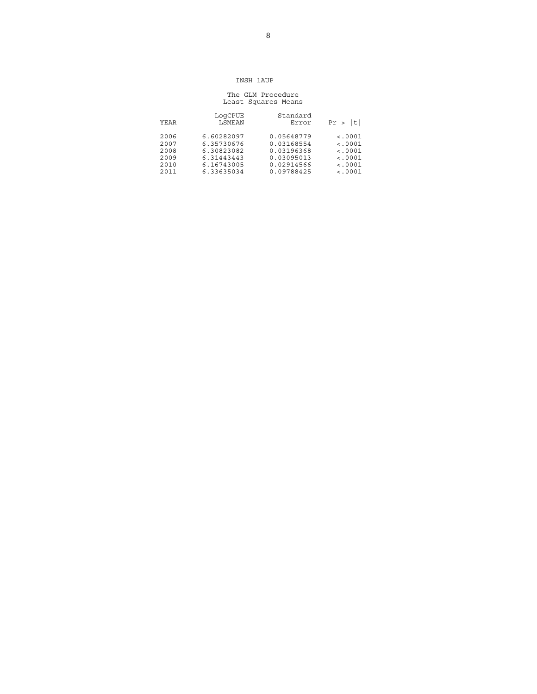### INSH 1AUP

### The GLM Procedure Least Squares Means

| t       | Standard   | LogCPUE    | YEAR |
|---------|------------|------------|------|
| Pr >    | Error      | LSMEAN     |      |
| < .0001 | 0.05648779 | 6.60282097 | 2006 |
| < .0001 | 0.03168554 | 6.35730676 | 2007 |
| < .0001 | 0.03196368 | 6.30823082 | 2008 |
| < .0001 | 0.03095013 | 6.31443443 | 2009 |
| < .0001 | 0.02914566 | 6.16743005 | 2010 |
| < .0001 | 0.09788425 | 6.33635034 | 2011 |
|         |            |            |      |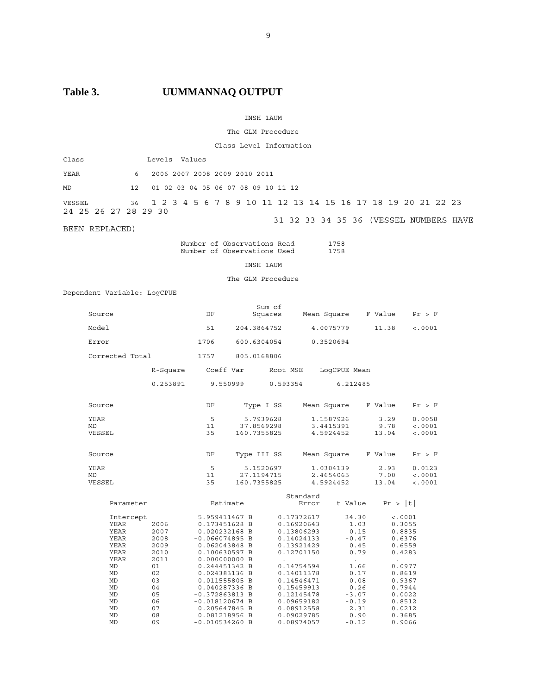# Table 3. UUMMANNAQ OUTPUT

### INSH 1AUM

### The GLM Procedure

Class Level Information

| Class                          | Levels Values                                                  |  |  |  |  |  |  |  |  |  |  |                                        |
|--------------------------------|----------------------------------------------------------------|--|--|--|--|--|--|--|--|--|--|----------------------------------------|
| YEAR                           | 6 2006 2007 2008 2009 2010 2011                                |  |  |  |  |  |  |  |  |  |  |                                        |
| MD                             | 12 01 02 03 04 05 06 07 08 09 10 11 12                         |  |  |  |  |  |  |  |  |  |  |                                        |
| VESSEL<br>24 25 26 27 28 29 30 | 36 1 2 3 4 5 6 7 8 9 10 11 12 13 14 15 16 17 18 19 20 21 22 23 |  |  |  |  |  |  |  |  |  |  |                                        |
| BEEN REPLACED)                 |                                                                |  |  |  |  |  |  |  |  |  |  | 31 32 33 34 35 36 (VESSEL NUMBERS HAVE |

 Number of Observations Read 1758 Number of Observations Used 1758

INSH 1AUM

The GLM Procedure

Dependent Variable: LogCPUE

| Source          |              | DF                             |             | Sum of<br>Squares |                   | Mean Square  | F Value        | Pr > F  |
|-----------------|--------------|--------------------------------|-------------|-------------------|-------------------|--------------|----------------|---------|
| Model           |              | 51                             | 204.3864752 |                   |                   | 4.0075779    | 11.38          | < .0001 |
| Error           |              | 1706                           | 600.6304054 |                   |                   | 0.3520694    |                |         |
| Corrected Total |              | 1757                           | 805.0168806 |                   |                   |              |                |         |
|                 | R-Square     | Coeff Var                      |             | Root MSE          |                   | LoqCPUE Mean |                |         |
|                 | 0.253891     | 9.550999                       |             | 0.593354          |                   | 6.212485     |                |         |
| Source          |              | DF                             |             | Type I SS         |                   | Mean Square  | F Value        | Pr > F  |
| YEAR            |              | 5                              |             | 5.7939628         |                   | 1.1587926    | 3.29           | 0.0058  |
| <b>MD</b>       |              | 11                             | 37.8569298  |                   |                   | 3.4415391    | 9.78           | < .0001 |
| VESSEL          |              | 35                             | 160.7355825 |                   |                   | 4.5924452    | 13.04          | < .0001 |
| Source          |              | DF                             | Type III SS |                   |                   | Mean Square  | F Value        | Pr > F  |
| <b>YEAR</b>     |              | 5                              |             | 5.1520697         |                   | 1.0304139    | 2.93           | 0.0123  |
| MD              |              | 11                             | 27.1194715  |                   |                   | 2.4654065    | 7.00           | < .0001 |
| VESSEL          |              | 35                             | 160.7355825 |                   |                   | 4.5924452    | 13.04          | < .0001 |
| Parameter       |              | Estimate                       |             |                   | Standard<br>Error | t Value      | Pr >  t        |         |
|                 |              |                                |             |                   |                   |              |                |         |
| Intercept       |              | 5.959411467 B                  |             |                   | 0.17372617        | 34.30        | < .0001        |         |
| YEAR            | 2006         | 0.173451628 B                  |             |                   | 0.16920643        | 1.03         | 0.3055         |         |
| YEAR            | 2007         | 0.020232168 B                  |             |                   | 0.13806293        | 0.15         | 0.8835         |         |
| YEAR            | 2008         | $-0.066074895 B$               |             |                   | 0.14024133        | $-0.47$      | 0.6376         |         |
| YEAR            | 2009         | 0.062043848 B                  |             |                   | 0.13921429        | 0.45         | 0.6559         |         |
| YEAR            | 2010<br>2011 | 0.100630597 B                  |             |                   | 0.12701150        | 0.79         | 0.4283         |         |
| YEAR<br>MD      | 01           | 0.000000000 B<br>0.244451342 B |             |                   | 0.14754594        | 1.66         | 0.0977         |         |
| MD              | 02           | 0.024383136 B                  |             |                   | 0.14011378        | 0.17         | 0.8619         |         |
| MD              | 03           | 0.011555805 B                  |             |                   | 0.14546471        | 0.08         | 0.9367         |         |
| MD              | 04           | 0.040287336 B                  |             |                   | 0.15459913        |              | 0.26<br>0.7944 |         |
| MD              | 05           | $-0.372863813 B$               |             |                   | 0.12145478        | $-3.07$      | 0.0022         |         |
| MD              | 06           | $-0.018120674$ B               |             |                   | 0.09659182        | $-0.19$      | 0.8512         |         |
| MD              | 07           | 0.205647845 B                  |             |                   | 0.08912558        | 2.31         | 0.0212         |         |
| MD              | 08           | 0.081218956 B                  |             |                   | 0.09029785        | 0.90         | 0.3685         |         |
| <b>MD</b>       | 09           | $-0.010534260$ B               |             |                   | 0.08974057        | $-0.12$      | 0.9066         |         |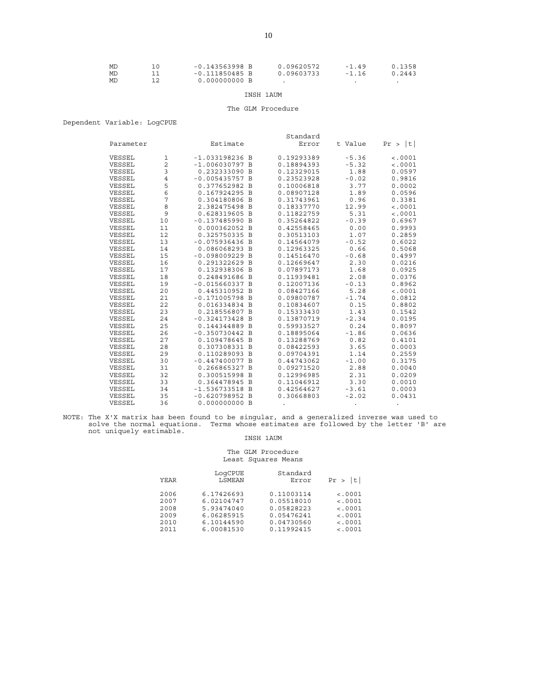| MD | $-0.143563998$ B | 0.09620572 | $-1.49$ | 0.1358 |
|----|------------------|------------|---------|--------|
| MD | $-0.111850485 B$ | 0.09603733 | $-1.16$ | 0.2443 |
| MD | 0.000000000B     |            |         |        |

### INSH 1AUM

### The GLM Procedure

### Dependent Variable: LogCPUE

|           |                |                  | Standard   |         |            |
|-----------|----------------|------------------|------------|---------|------------|
| Parameter |                | Estimate         | Error      | t Value | t <br>Pr > |
| VESSEL    | 1              | $-1.033198236$ B | 0.19293389 | $-5.36$ | < .0001    |
| VESSEL    | $\overline{c}$ | $-1.006030797$ B | 0.18894393 | $-5.32$ | < .0001    |
| VESSEL    | 3              | 0.232333090 B    | 0.12329015 | 1.88    | 0.0597     |
| VESSEL    | 4              | $-0.005435757 B$ | 0.23523928 | $-0.02$ | 0.9816     |
| VESSEL    | 5              | 0.377652982 B    | 0.10006818 | 3.77    | 0.0002     |
| VESSEL    | 6              | 0.167924295 B    | 0.08907128 | 1.89    | 0.0596     |
| VESSEL    | 7              | 0.304180806 B    | 0.31743961 | 0.96    | 0.3381     |
| VESSEL    | 8              | 2.382475498 B    | 0.18337770 | 12.99   | < .0001    |
| VESSEL    | 9              | 0.628319605 B    | 0.11822759 | 5.31    | < .0001    |
| VESSEL    | 10             | $-0.137485990 B$ | 0.35264822 | $-0.39$ | 0.6967     |
| VESSEL    | 11             | 0.000362052 B    | 0.42558465 | 0.00    | 0.9993     |
| VESSEL    | 12             | 0.325750335 B    | 0.30513103 | 1.07    | 0.2859     |
| VESSEL    | 13             | $-0.075936436$ B | 0.14564079 | $-0.52$ | 0.6022     |
| VESSEL    | 14             | 0.086068293 B    | 0.12963325 | 0.66    | 0.5068     |
| VESSEL    | 15             | $-0.098009229B$  | 0.14516470 | $-0.68$ | 0.4997     |
| VESSEL    | 16             | 0.291322629 B    | 0.12669647 | 2.30    | 0.0216     |
| VESSEL    | 17             | 0.132938306 B    | 0.07897173 | 1.68    | 0.0925     |
| VESSEL    | 18             | 0.248491686 B    | 0.11939481 | 2.08    | 0.0376     |
| VESSEL    | 19             | $-0.015660337 B$ | 0.12007136 | $-0.13$ | 0.8962     |
| VESSEL    | 20             | 0.445310952 B    | 0.08427166 | 5.28    | < .0001    |
| VESSEL    | 21             | $-0.171005798$ B | 0.09800787 | $-1.74$ | 0.0812     |
| VESSEL    | 22             | 0.016334834 B    | 0.10834607 | 0.15    | 0.8802     |
| VESSEL    | 23             | 0.218556807 B    | 0.15333430 | 1.43    | 0.1542     |
| VESSEL    | 24             | $-0.324173428$ B | 0.13870719 | $-2.34$ | 0.0195     |
| VESSEL    | 25             | 0.144344889 B    | 0.59933527 | 0.24    | 0.8097     |
| VESSEL    | 26             | $-0.350730442 B$ | 0.18895064 | $-1.86$ | 0.0636     |
| VESSEL    | 27             | 0.109478645 B    | 0.13288769 | 0.82    | 0.4101     |
| VESSEL    | 28             | 0.307308331 B    | 0.08422593 | 3.65    | 0.0003     |
| VESSEL    | 29             | 0.110289093 B    | 0.09704391 | 1.14    | 0.2559     |
| VESSEL    | 30             | $-0.447400077$ B | 0.44743062 | $-1.00$ | 0.3175     |
| VESSEL    | 31             | 0.266865327 B    | 0.09271520 | 2.88    | 0.0040     |
| VESSEL    | 32             | 0.300515998 B    | 0.12996985 | 2.31    | 0.0209     |
| VESSEL    | 33             | 0.364478945 B    | 0.11046912 | 3.30    | 0.0010     |
| VESSEL    | 34             | -1.536733518 B   | 0.42564627 | $-3.61$ | 0.0003     |
| VESSEL    | 35             | $-0.620798952 B$ | 0.30668803 | $-2.02$ | 0.0431     |
| VESSEL    | 36             | 0.000000000 B    |            |         |            |

NOTE: The X'X matrix has been found to be singular, and a generalized inverse was used to solve the normal equations. Terms whose estimates are followed by the letter 'B' are not uniquely estimable.

### INSH 1AUM

### The GLM Procedure Least Squares Means

| YEAR | LogCPUE<br>LSMEAN | Standard<br>Error | lt l<br>Pr > |
|------|-------------------|-------------------|--------------|
| 2006 | 6.17426693        | 0.11003114        | < .0001      |
| 2007 | 6.02104747        | 0.05518010        | $\leq 0.001$ |
| 2008 | 5.93474040        | 0.05828223        | < .0001      |
| 2009 | 6.06285915        | 0.05476241        | < .0001      |
| 2010 | 6.10144590        | 0.04730560        | < .0001      |
| 2011 | 6.00081530        | 0.11992415        | < .0001      |